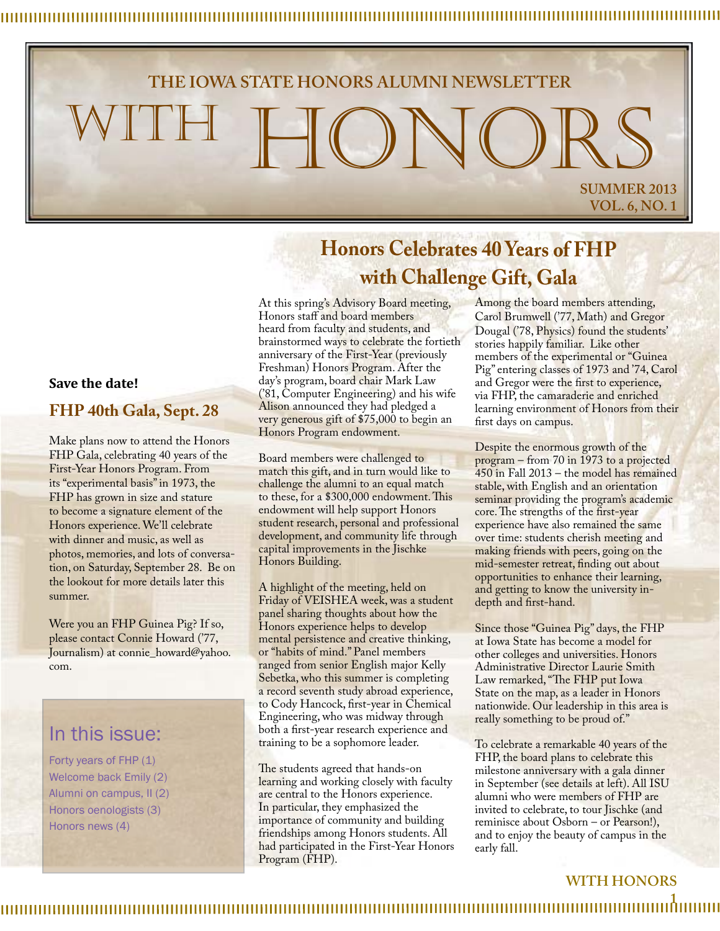# **THE IOWA STATE HONORS ALUMNI NEWSLETTER** WITH HONORS **SUMMER 2013 VOL. 6, NO. 1**

## **Honors Celebrates 40 Years of FHP with Challenge Gift, Gala**

At this spring's Advisory Board meeting, Honors staff and board members heard from faculty and students, and brainstormed ways to celebrate the fortieth anniversary of the First-Year (previously Freshman) Honors Program. After the day's program, board chair Mark Law ('81, Computer Engineering) and his wife Alison announced they had pledged a very generous gift of \$75,000 to begin an Honors Program endowment.

Board members were challenged to match this gift, and in turn would like to challenge the alumni to an equal match to these, for a \$300,000 endowment. This endowment will help support Honors student research, personal and professional development, and community life through capital improvements in the Jischke Honors Building.

A highlight of the meeting, held on Friday of VEISHEA week, was a student panel sharing thoughts about how the Honors experience helps to develop mental persistence and creative thinking, or "habits of mind." Panel members ranged from senior English major Kelly Sebetka, who this summer is completing a record seventh study abroad experience, to Cody Hancock, first-year in Chemical Engineering, who was midway through both a first-year research experience and training to be a sophomore leader.

The students agreed that hands-on learning and working closely with faculty are central to the Honors experience. In particular, they emphasized the importance of community and building friendships among Honors students. All had participated in the First-Year Honors Program (FHP).

Among the board members attending, Carol Brumwell ('77, Math) and Gregor Dougal ('78, Physics) found the students' stories happily familiar. Like other members of the experimental or "Guinea Pig" entering classes of 1973 and '74, Carol and Gregor were the first to experience, via FHP, the camaraderie and enriched learning environment of Honors from their first days on campus.

Despite the enormous growth of the program – from 70 in 1973 to a projected 450 in Fall 2013 – the model has remained stable, with English and an orientation seminar providing the program's academic core. The strengths of the first-year experience have also remained the same over time: students cherish meeting and making friends with peers, going on the mid-semester retreat, finding out about opportunities to enhance their learning, and getting to know the university indepth and first-hand.

Since those "Guinea Pig" days, the FHP at Iowa State has become a model for other colleges and universities. Honors Administrative Director Laurie Smith Law remarked, "The FHP put Iowa State on the map, as a leader in Honors nationwide. Our leadership in this area is really something to be proud of."

To celebrate a remarkable 40 years of the FHP, the board plans to celebrate this milestone anniversary with a gala dinner in September (see details at left). All ISU alumni who were members of FHP are invited to celebrate, to tour Jischke (and reminisce about Osborn – or Pearson!), and to enjoy the beauty of campus in the early fall.

### **WITH HONORS**

### **Save the date!**

#### **FHP 40th Gala, Sept. 28**

Make plans now to attend the Honors FHP Gala, celebrating 40 years of the First-Year Honors Program. From its "experimental basis" in 1973, the FHP has grown in size and stature to become a signature element of the Honors experience. We'll celebrate with dinner and music, as well as photos, memories, and lots of conversation, on Saturday, September 28. Be on the lookout for more details later this summer.

Were you an FHP Guinea Pig? If so, please contact Connie Howard ('77, Journalism) at connie\_howard@yahoo. com.

## In this issue:

Forty years of FHP (1) Welcome back Emily (2) Alumni on campus, II (2) Honors oenologists (3) Honors news (4)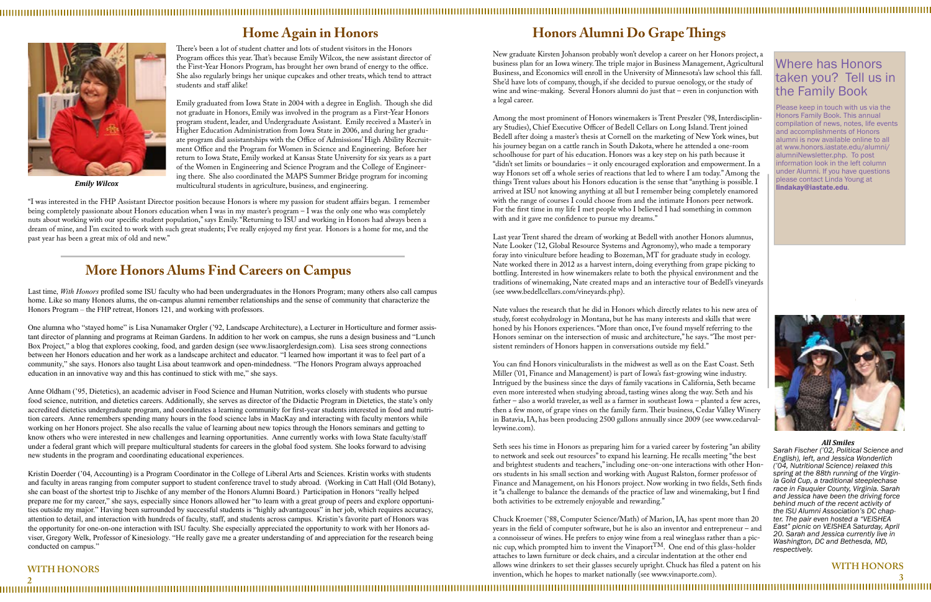#### 

## **Home Again in Honors**

#### **WITH HONORS**

## **WITH HONORS**

**3 2**

There's been a lot of student chatter and lots of student visitors in the Honors Program offices this year. That's because Emily Wilcox, the new assistant director of the First-Year Honors Program, has brought her own brand of energy to the office. She also regularly brings her unique cupcakes and other treats, which tend to attract students and staff alike!

Emily graduated from Iowa State in 2004 with a degree in English. Though she did not graduate in Honors, Emily was involved in the program as a First-Year Honors program student, leader, and Undergraduate Assistant. Emily received a Master's in Higher Education Administration from Iowa State in 2006, and during her graduate program did assistantships with the Office of Admissions' High Ability Recruitment Office and the Program for Women in Science and Engineering. Before her return to Iowa State, Emily worked at Kansas State University for six years as a part of the Women in Engineering and Science Program and the College of Engineering there. She also coordinated the MAPS Summer Bridge program for incoming multicultural students in agriculture, business, and engineering.

## Where has Honors taken you? Tell us in the Family Book

Please keep in touch with us via the Honors Family Book. This annual compilation of news, notes, life events and accomplishments of Honors alumni is now available online to all at www.honors.iastate.edu/alumni/ alumniNewsletter.php. To post nformation look in the left column under Alumni. If you have questions please contact Linda Young at lindakay@iastate.edu.



New graduate Kirsten Johanson probably won't develop a career on her Honors project, a business plan for an Iowa winery. The triple major in Business Management, Agricultural Business, and Economics will enroll in the University of Minnesota's law school this fall. She'd have lots of company, though, if she decided to pursue oenology, or the study of wine and wine-making. Several Honors alumni do just that – even in conjunction with a legal career.

Among the most prominent of Honors winemakers is Trent Preszler ('98, Interdisciplinary Studies), Chief Executive Officer of Bedell Cellars on Long Island. Trent joined Bedell after doing a master's thesis at Cornell on the marketing of New York wines, but his journey began on a cattle ranch in South Dakota, where he attended a one-room schoolhouse for part of his education. Honors was a key step on his path because it "didn't set limits or boundaries – it only encouraged exploration and empowerment. In a way Honors set off a whole series of reactions that led to where I am today." Among the things Trent values about his Honors education is the sense that "anything is possible. I arrived at ISU not knowing anything at all but I remember being completely enamored with the range of courses I could choose from and the intimate Honors peer network. For the first time in my life I met people who I believed I had something in common with and it gave me confidence to pursue my dreams."

Last year Trent shared the dream of working at Bedell with another Honors alumnus, Nate Looker ('12, Global Resource Systems and Agronomy), who made a temporary foray into viniculture before heading to Bozeman, MT for graduate study in ecology. Nate worked there in 2012 as a harvest intern, doing everything from grape picking to bottling. Interested in how winemakers relate to both the physical environment and the traditions of winemaking, Nate created maps and an interactive tour of Bedell's vineyards (see www.bedellcellars.com/vineyards.php).

Nate values the research that he did in Honors which directly relates to his new area of study, forest ecohydrology in Montana, but he has many interests and skills that were honed by his Honors experiences. "More than once, I've found myself referring to the Honors seminar on the intersection of music and architecture," he says. "The most persistent reminders of Honors happen in conversations outside my field."

You can find Honors viniculturalists in the midwest as well as on the East Coast. Seth Miller ('01, Finance and Management) is part of Iowa's fast-growing wine industry. Intrigued by the business since the days of family vacations in California, Seth became even more interested when studying abroad, tasting wines along the way. Seth and his father – also a world traveler, as well as a farmer in southeast Iowa – planted a few acres, then a few more, of grape vines on the family farm. Their business, Cedar Valley Winery in Batavia, IA, has been producing 2500 gallons annually since 2009 (see www.cedarvalleywine.com).

Seth sees his time in Honors as preparing him for a varied career by fostering "an ability to network and seek out resources" to expand his learning. He recalls meeting "the best and brightest students and teachers," including one-on-one interactions with other Honors students in his small section and working with August Ralston, former professor of Finance and Management, on his Honors project. Now working in two fields, Seth finds it "a challenge to balance the demands of the practice of law and winemaking, but I find both activities to be extremely enjoyable and rewarding."

Chuck Kroemer ('88, Computer Science/Math) of Marion, IA, has spent more than 20 years in the field of computer software, but he is also an inventor and entrepreneur – and a connoisseur of wines. He prefers to enjoy wine from a real wineglass rather than a picnic cup, which prompted him to invent the VinaportTM. One end of this glass-holder attaches to lawn furniture or deck chairs, and a circular indentation at the other end allows wine drinkers to set their glasses securely upright. Chuck has filed a patent on his invention, which he hopes to market nationally (see www.vinaporte.com).

## **Honors Alumni Do Grape Things**

#### *All Smiles*

*Sarah Fischer ('02, Political Science and English), left, and Jessica Wonderlich ('04, Nutritional Science) relaxed this spring at the 88th running of the Virgin- ia Gold Cup, a traditional steeplechase race in Fauquier County, Virginia. Sarah and Jessica have been the driving force behind much of the recent activity of the ISU Alumni Association's DC chap- ter. The pair even hosted a "VEISHEA East" picnic on VEISHEA Saturday, April 20. Sarah and Jessica currently live in Washington, DC and Bethesda, MD, respectively.*

"I was interested in the FHP Assistant Director position because Honors is where my passion for student affairs began. I remember being completely passionate about Honors education when I was in my master's program – I was the only one who was completely nuts about working with our specific student population," says Emily. "Returning to ISU and working in Honors had always been a dream of mine, and I'm excited to work with such great students; I've really enjoyed my first year. Honors is a home for me, and the past year has been a great mix of old and new."



*Emily Wilcox*

## **More Honors Alums Find Careers on Campus**

Last time, *With Honors* profiled some ISU faculty who had been undergraduates in the Honors Program; many others also call campus home. Like so many Honors alums, the on-campus alumni remember relationships and the sense of community that characterize the Honors Program – the FHP retreat, Honors 121, and working with professors.

One alumna who "stayed home" is Lisa Nunamaker Orgler ('92, Landscape Architecture), a Lecturer in Horticulture and former assistant director of planning and programs at Reiman Gardens. In addition to her work on campus, she runs a design business and "Lunch Box Project," a blog that explores cooking, food, and garden design (see www.lisaorglerdesign.com). Lisa sees strong connections between her Honors education and her work as a landscape architect and educator. "I learned how important it was to feel part of a community," she says. Honors also taught Lisa about teamwork and open-mindedness. "The Honors Program always approached education in an innovative way and this has continued to stick with me," she says.

Anne Oldham ('95, Dietetics), an academic adviser in Food Science and Human Nutrition, works closely with students who pursue food science, nutrition, and dietetics careers. Additionally, she serves as director of the Didactic Program in Dietetics, the state's only accredited dietetics undergraduate program, and coordinates a learning community for first-year students interested in food and nutrition careers. Anne remembers spending many hours in the food science labs in MacKay and interacting with faculty mentors while working on her Honors project. She also recalls the value of learning about new topics through the Honors seminars and getting to know others who were interested in new challenges and learning opportunities. Anne currently works with Iowa State faculty/staff under a federal grant which will prepare multicultural students for careers in the global food system. She looks forward to advising new students in the program and coordinating educational experiences.

Kristin Doerder ('04, Accounting) is a Program Coordinator in the College of Liberal Arts and Sciences. Kristin works with students and faculty in areas ranging from computer support to student conference travel to study abroad. (Working in Catt Hall (Old Botany), she can boast of the shortest trip to Jischke of any member of the Honors Alumni Board.) Participation in Honors "really helped prepare me for my career," she says, especially since Honors allowed her "to learn with a great group of peers and explore opportunities outside my major." Having been surrounded by successful students is "highly advantageous" in her job, which requires accuracy, attention to detail, and interaction with hundreds of faculty, staff, and students across campus. Kristin's favorite part of Honors was the opportunity for one-on-one interaction with ISU faculty. She especially appreciated the opportunity to work with her Honors adviser, Gregory Welk, Professor of Kinesiology. "He really gave me a greater understanding of and appreciation for the research being conducted on campus."